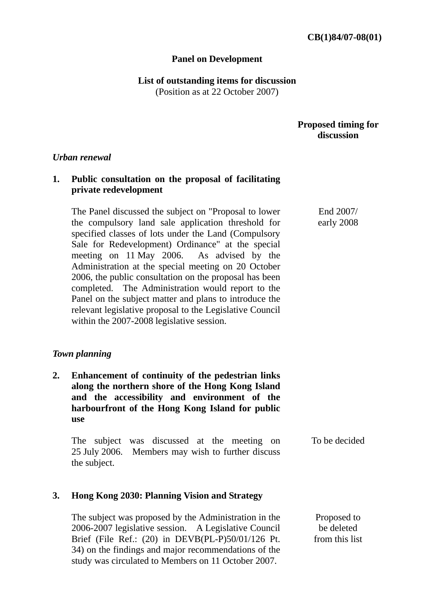#### **Panel on Development**

**List of outstanding items for discussion** 

(Position as at 22 October 2007)

## **Proposed timing for discussion**

End 2007/ early 2008

#### *Urban renewal*

# **1. Public consultation on the proposal of facilitating private redevelopment**

The Panel discussed the subject on "Proposal to lower the compulsory land sale application threshold for specified classes of lots under the Land (Compulsory Sale for Redevelopment) Ordinance" at the special meeting on 11 May 2006. As advised by the Administration at the special meeting on 20 October 2006, the public consultation on the proposal has been completed. The Administration would report to the Panel on the subject matter and plans to introduce the relevant legislative proposal to the Legislative Council within the 2007-2008 legislative session.

## *Town planning*

**2. Enhancement of continuity of the pedestrian links along the northern shore of the Hong Kong Island and the accessibility and environment of the harbourfront of the Hong Kong Island for public use** 

The subject was discussed at the meeting on 25 July 2006. Members may wish to further discuss the subject. To be decided

## **3. Hong Kong 2030: Planning Vision and Strategy**

The subject was proposed by the Administration in the 2006-2007 legislative session. A Legislative Council Brief (File Ref.: (20) in DEVB(PL-P)50/01/126 Pt. 34) on the findings and major recommendations of the study was circulated to Members on 11 October 2007. Proposed to be deleted from this list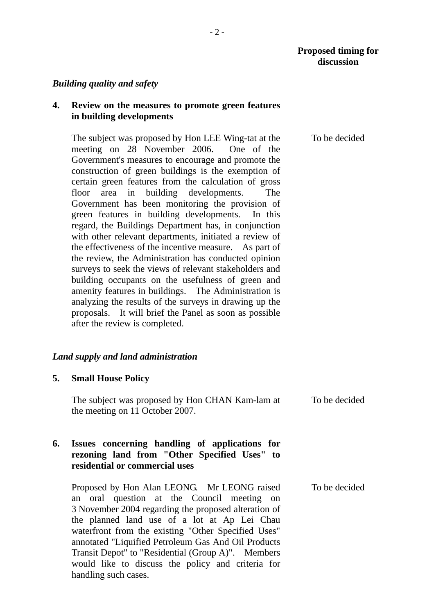## *Building quality and safety*

## **4. Review on the measures to promote green features in building developments**

The subject was proposed by Hon LEE Wing-tat at the meeting on 28 November 2006. One of the Government's measures to encourage and promote the construction of green buildings is the exemption of certain green features from the calculation of gross floor area in building developments. The Government has been monitoring the provision of green features in building developments. In this regard, the Buildings Department has, in conjunction with other relevant departments, initiated a review of the effectiveness of the incentive measure. As part of the review, the Administration has conducted opinion surveys to seek the views of relevant stakeholders and building occupants on the usefulness of green and amenity features in buildings. The Administration is analyzing the results of the surveys in drawing up the proposals. It will brief the Panel as soon as possible after the review is completed.

#### *Land supply and land administration*

#### **5. Small House Policy**

The subject was proposed by Hon CHAN Kam-lam at the meeting on 11 October 2007. To be decided

## **6. Issues concerning handling of applications for rezoning land from "Other Specified Uses" to residential or commercial uses**

Proposed by Hon Alan LEONG. Mr LEONG raised an oral question at the Council meeting on 3 November 2004 regarding the proposed alteration of the planned land use of a lot at Ap Lei Chau waterfront from the existing "Other Specified Uses" annotated "Liquified Petroleum Gas And Oil Products Transit Depot" to "Residential (Group A)". Members would like to discuss the policy and criteria for handling such cases.

To be decided

To be decided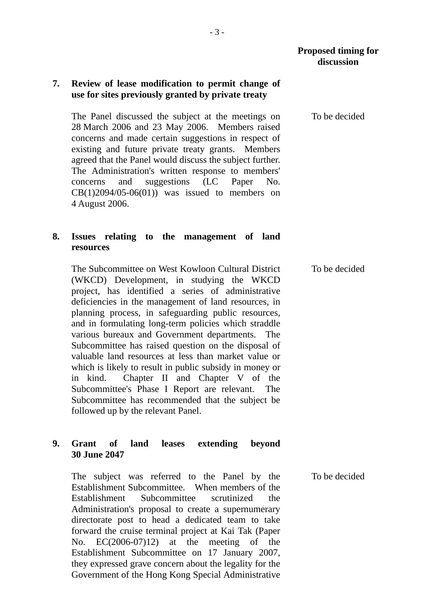## **7. Review of lease modification to permit change of use for sites previously granted by private treaty**

The Panel discussed the subject at the meetings on 28 March 2006 and 23 May 2006. Members raised concerns and made certain suggestions in respect of existing and future private treaty grants. Members agreed that the Panel would discuss the subject further. The Administration's written response to members' concerns and suggestions (LC Paper No.  $CB(1)2094/05-06(01))$  was issued to members on 4 August 2006.

# **8. Issues relating to the management of land resources**

The Subcommittee on West Kowloon Cultural District (WKCD) Development, in studying the WKCD project, has identified a series of administrative deficiencies in the management of land resources, in planning process, in safeguarding public resources, and in formulating long-term policies which straddle various bureaux and Government departments. The Subcommittee has raised question on the disposal of valuable land resources at less than market value or which is likely to result in public subsidy in money or in kind. Chapter II and Chapter V of the Subcommittee's Phase I Report are relevant. The Subcommittee has recommended that the subject be followed up by the relevant Panel.

# **9. Grant of land leases extending beyond 30 June 2047**

The subject was referred to the Panel by the Establishment Subcommittee. When members of the Establishment Subcommittee scrutinized the Administration's proposal to create a supernumerary directorate post to head a dedicated team to take forward the cruise terminal project at Kai Tak (Paper No. EC(2006-07)12) at the meeting of the Establishment Subcommittee on 17 January 2007, they expressed grave concern about the legality for the Government of the Hong Kong Special Administrative To be decided

To be decided

To be decided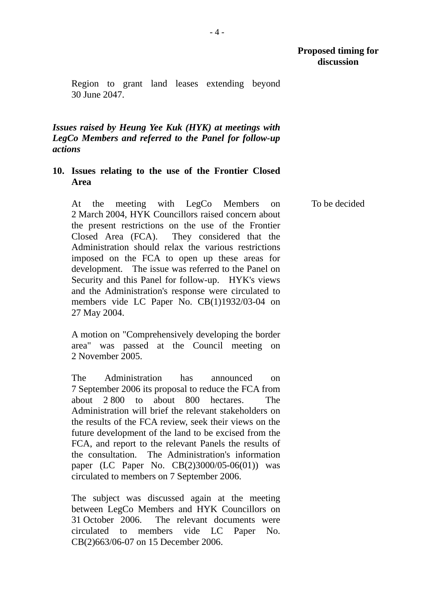To be decided

Region to grant land leases extending beyond 30 June 2047.

*Issues raised by Heung Yee Kuk (HYK) at meetings with LegCo Members and referred to the Panel for follow-up actions* 

# **10. Issues relating to the use of the Frontier Closed Area**

At the meeting with LegCo Members on 2 March 2004, HYK Councillors raised concern about the present restrictions on the use of the Frontier Closed Area (FCA). They considered that the Administration should relax the various restrictions imposed on the FCA to open up these areas for development. The issue was referred to the Panel on Security and this Panel for follow-up. HYK's views and the Administration's response were circulated to members vide LC Paper No. CB(1)1932/03-04 on 27 May 2004.

A motion on "Comprehensively developing the border area" was passed at the Council meeting on 2 November 2005.

The Administration has announced on 7 September 2006 its proposal to reduce the FCA from about 2 800 to about 800 hectares. The Administration will brief the relevant stakeholders on the results of the FCA review, seek their views on the future development of the land to be excised from the FCA, and report to the relevant Panels the results of the consultation. The Administration's information paper (LC Paper No. CB(2)3000/05-06(01)) was circulated to members on 7 September 2006.

The subject was discussed again at the meeting between LegCo Members and HYK Councillors on 31 October 2006. The relevant documents were circulated to members vide LC Paper No. CB(2)663/06-07 on 15 December 2006.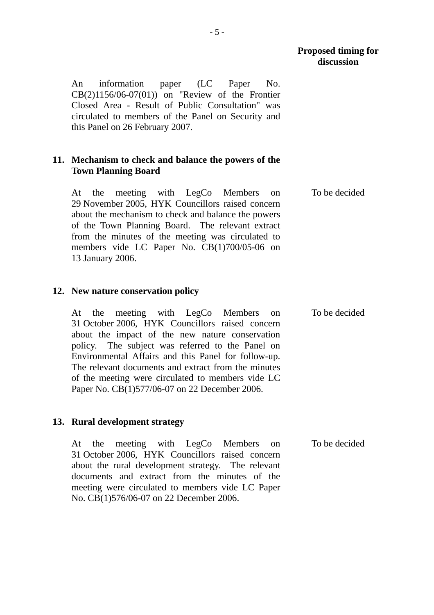To be decided

An information paper (LC Paper No. CB(2)1156/06-07(01)) on "Review of the Frontier Closed Area - Result of Public Consultation" was circulated to members of the Panel on Security and this Panel on 26 February 2007.

## **11. Mechanism to check and balance the powers of the Town Planning Board**

At the meeting with LegCo Members on 29 November 2005, HYK Councillors raised concern about the mechanism to check and balance the powers of the Town Planning Board. The relevant extract from the minutes of the meeting was circulated to members vide LC Paper No. CB(1)700/05-06 on 13 January 2006.

## **12. New nature conservation policy**

At the meeting with LegCo Members on 31 October 2006, HYK Councillors raised concern about the impact of the new nature conservation policy. The subject was referred to the Panel on Environmental Affairs and this Panel for follow-up. The relevant documents and extract from the minutes of the meeting were circulated to members vide LC Paper No. CB(1)577/06-07 on 22 December 2006. To be decided

## **13. Rural development strategy**

At the meeting with LegCo Members on 31 October 2006, HYK Councillors raised concern about the rural development strategy. The relevant documents and extract from the minutes of the meeting were circulated to members vide LC Paper No. CB(1)576/06-07 on 22 December 2006. To be decided